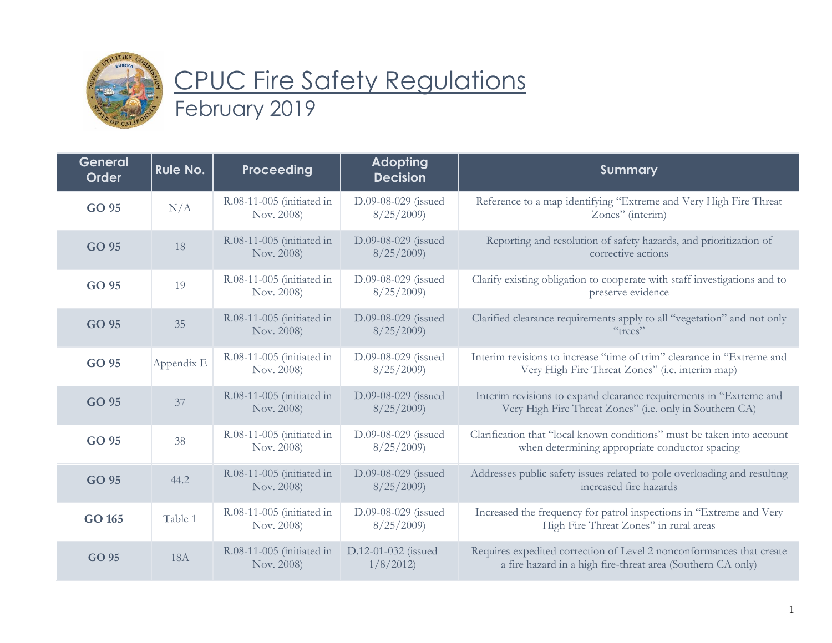

## CPUC Fire Safety Regulations February 2019

| <b>General</b><br><b>Order</b> | Rule No.   | Proceeding                              | <b>Adopting</b><br><b>Decision</b> | <b>Summary</b>                                                                                                                      |
|--------------------------------|------------|-----------------------------------------|------------------------------------|-------------------------------------------------------------------------------------------------------------------------------------|
| GO 95                          | N/A        | R.08-11-005 (initiated in<br>Nov. 2008) | D.09-08-029 (issued<br>8/25/2009   | Reference to a map identifying "Extreme and Very High Fire Threat<br>Zones" (interim)                                               |
| GO 95                          | 18         | R.08-11-005 (initiated in<br>Nov. 2008) | D.09-08-029 (issued<br>8/25/2009   | Reporting and resolution of safety hazards, and prioritization of<br>corrective actions                                             |
| GO 95                          | 19         | R.08-11-005 (initiated in<br>Nov. 2008) | D.09-08-029 (issued<br>8/25/2009   | Clarify existing obligation to cooperate with staff investigations and to<br>preserve evidence                                      |
| GO 95                          | 35         | R.08-11-005 (initiated in<br>Nov. 2008) | D.09-08-029 (issued<br>8/25/2009   | Clarified clearance requirements apply to all "vegetation" and not only<br>"trees"                                                  |
| GO 95                          | Appendix E | R.08-11-005 (initiated in<br>Nov. 2008) | D.09-08-029 (issued<br>8/25/2009   | Interim revisions to increase "time of trim" clearance in "Extreme and<br>Very High Fire Threat Zones" (i.e. interim map)           |
| GO 95                          | 37         | R.08-11-005 (initiated in<br>Nov. 2008) | D.09-08-029 (issued<br>8/25/2009   | Interim revisions to expand clearance requirements in "Extreme and<br>Very High Fire Threat Zones" (i.e. only in Southern CA)       |
| GO 95                          | 38         | R.08-11-005 (initiated in<br>Nov. 2008) | D.09-08-029 (issued<br>8/25/2009   | Clarification that "local known conditions" must be taken into account<br>when determining appropriate conductor spacing            |
| GO 95                          | 44.2       | R.08-11-005 (initiated in<br>Nov. 2008) | D.09-08-029 (issued<br>8/25/2009   | Addresses public safety issues related to pole overloading and resulting<br>increased fire hazards                                  |
| GO 165                         | Table 1    | R.08-11-005 (initiated in<br>Nov. 2008) | D.09-08-029 (issued<br>8/25/2009   | Increased the frequency for patrol inspections in "Extreme and Very<br>High Fire Threat Zones" in rural areas                       |
| GO 95                          | <b>18A</b> | R.08-11-005 (initiated in<br>Nov. 2008) | D.12-01-032 (issued<br>1/8/2012    | Requires expedited correction of Level 2 nonconformances that create<br>a fire hazard in a high fire-threat area (Southern CA only) |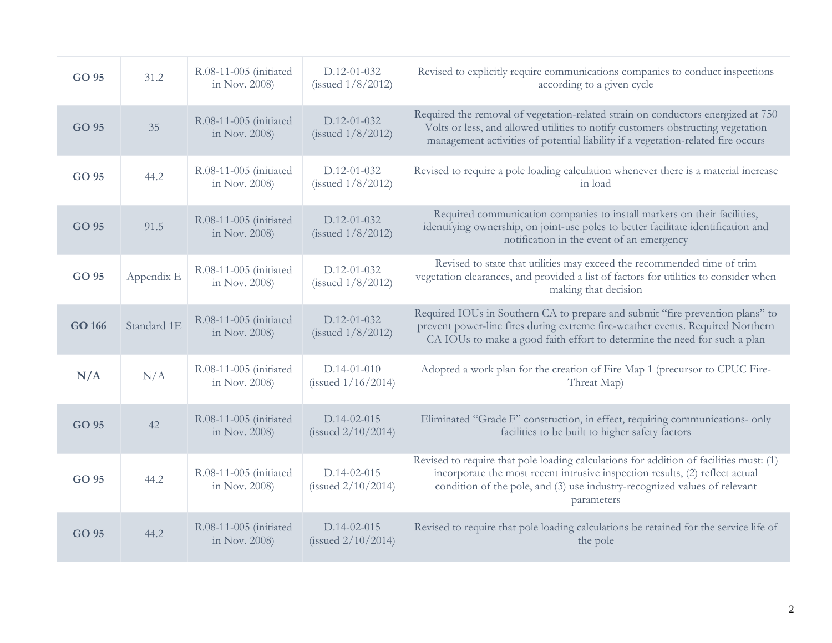| GO 95  | 31.2        | R.08-11-005 (initiated<br>in Nov. 2008) | $D.12 - 01 - 032$<br>(issued $1/8/2012$ ) | Revised to explicitly require communications companies to conduct inspections<br>according to a given cycle                                                                                                                                                       |
|--------|-------------|-----------------------------------------|-------------------------------------------|-------------------------------------------------------------------------------------------------------------------------------------------------------------------------------------------------------------------------------------------------------------------|
| GO 95  | 35          | R.08-11-005 (initiated<br>in Nov. 2008) | D.12-01-032<br>(issued $1/8/2012$ )       | Required the removal of vegetation-related strain on conductors energized at 750<br>Volts or less, and allowed utilities to notify customers obstructing vegetation<br>management activities of potential liability if a vegetation-related fire occurs           |
| GO 95  | 44.2        | R.08-11-005 (initiated<br>in Nov. 2008) | $D.12 - 01 - 032$<br>(issued $1/8/2012$ ) | Revised to require a pole loading calculation whenever there is a material increase<br>in load                                                                                                                                                                    |
| GO 95  | 91.5        | R.08-11-005 (initiated<br>in Nov. 2008) | $D.12 - 01 - 032$<br>(issued $1/8/2012$ ) | Required communication companies to install markers on their facilities,<br>identifying ownership, on joint-use poles to better facilitate identification and<br>notification in the event of an emergency                                                        |
| GO 95  | Appendix E  | R.08-11-005 (initiated<br>in Nov. 2008) | $D.12 - 01 - 032$<br>(issued $1/8/2012$ ) | Revised to state that utilities may exceed the recommended time of trim<br>vegetation clearances, and provided a list of factors for utilities to consider when<br>making that decision                                                                           |
| GO 166 | Standard 1E | R.08-11-005 (initiated<br>in Nov. 2008) | $D.12 - 01 - 032$<br>(issued $1/8/2012$ ) | Required IOUs in Southern CA to prepare and submit "fire prevention plans" to<br>prevent power-line fires during extreme fire-weather events. Required Northern<br>CA IOUs to make a good faith effort to determine the need for such a plan                      |
| N/A    | N/A         | R.08-11-005 (initiated<br>in Nov. 2008) | $D.14-01-010$<br>(issued $1/16/2014$ )    | Adopted a work plan for the creation of Fire Map 1 (precursor to CPUC Fire-<br>Threat Map)                                                                                                                                                                        |
| GO 95  | 42          | R.08-11-005 (initiated<br>in Nov. 2008) | $D.14-02-015$<br>(issued $2/10/2014$ )    | Eliminated "Grade F" construction, in effect, requiring communications- only<br>facilities to be built to higher safety factors                                                                                                                                   |
| GO 95  | 44.2        | R.08-11-005 (initiated<br>in Nov. 2008) | $D.14-02-015$<br>(issued $2/10/2014$ )    | Revised to require that pole loading calculations for addition of facilities must: (1)<br>incorporate the most recent intrusive inspection results, (2) reflect actual<br>condition of the pole, and (3) use industry-recognized values of relevant<br>parameters |
| GO 95  | 44.2        | R.08-11-005 (initiated<br>in Nov. 2008) | $D.14-02-015$<br>(issued $2/10/2014$ )    | Revised to require that pole loading calculations be retained for the service life of<br>the pole                                                                                                                                                                 |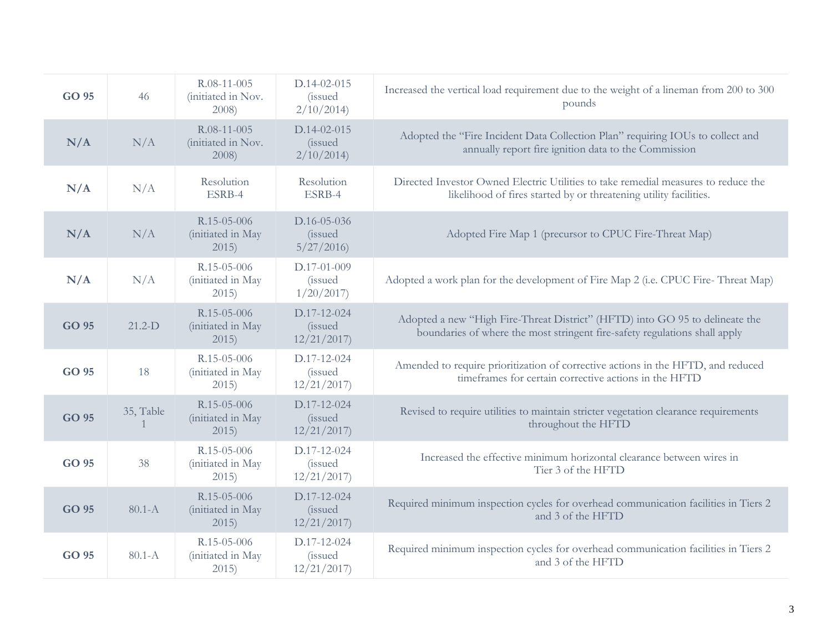| GO 95 | 46         | R.08-11-005<br>(initiated in Nov.<br>2008) | $D.14-02-015$<br><i>(issued)</i><br>2/10/2014 | Increased the vertical load requirement due to the weight of a lineman from 200 to 300<br>pounds                                                           |
|-------|------------|--------------------------------------------|-----------------------------------------------|------------------------------------------------------------------------------------------------------------------------------------------------------------|
| N/A   | N/A        | R.08-11-005<br>(initiated in Nov.<br>2008) | D.14-02-015<br><i>(issued)</i><br>2/10/2014   | Adopted the "Fire Incident Data Collection Plan" requiring IOUs to collect and<br>annually report fire ignition data to the Commission                     |
| N/A   | N/A        | Resolution<br>ESRB-4                       | Resolution<br>ESRB-4                          | Directed Investor Owned Electric Utilities to take remedial measures to reduce the<br>likelihood of fires started by or threatening utility facilities.    |
| N/A   | N/A        | R.15-05-006<br>(initiated in May<br>2015)  | D.16-05-036<br><i>(issued)</i><br>5/27/2016   | Adopted Fire Map 1 (precursor to CPUC Fire-Threat Map)                                                                                                     |
| N/A   | N/A        | R.15-05-006<br>(initiated in May<br>2015)  | D.17-01-009<br><i>(issued)</i><br>1/20/2017   | Adopted a work plan for the development of Fire Map 2 (i.e. CPUC Fire-Threat Map)                                                                          |
| GO 95 | $21.2-D$   | R.15-05-006<br>(initiated in May<br>2015)  | D.17-12-024<br><i>(issued)</i><br>12/21/2017  | Adopted a new "High Fire-Threat District" (HFTD) into GO 95 to delineate the<br>boundaries of where the most stringent fire-safety regulations shall apply |
| GO 95 | 18         | R.15-05-006<br>(initiated in May<br>2015   | D.17-12-024<br><i>(issued)</i><br>12/21/2017  | Amended to require prioritization of corrective actions in the HFTD, and reduced<br>timeframes for certain corrective actions in the HFTD                  |
| GO 95 | 35, Table  | R.15-05-006<br>(initiated in May<br>2015   | D.17-12-024<br><i>(issued)</i><br>12/21/2017  | Revised to require utilities to maintain stricter vegetation clearance requirements<br>throughout the HFTD                                                 |
| GO 95 | 38         | R.15-05-006<br>(initiated in May<br>2015   | D.17-12-024<br><i>(issued)</i><br>12/21/2017  | Increased the effective minimum horizontal clearance between wires in<br>Tier 3 of the HFTD                                                                |
| GO 95 | $80.1 - A$ | R.15-05-006<br>(initiated in May<br>2015)  | D.17-12-024<br><i>(issued)</i><br>12/21/2017  | Required minimum inspection cycles for overhead communication facilities in Tiers 2<br>and 3 of the HFTD                                                   |
| GO 95 | $80.1 - A$ | R.15-05-006<br>(initiated in May<br>2015)  | D.17-12-024<br><i>(issued)</i><br>12/21/2017  | Required minimum inspection cycles for overhead communication facilities in Tiers 2<br>and 3 of the HFTD                                                   |